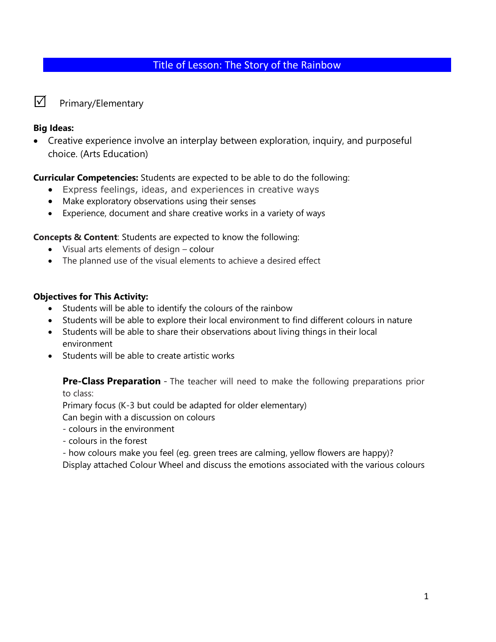## Title of Lesson: The Story of the Rainbow

 $\nabla$  Primary/Elementary

#### **Big Ideas:**

• Creative experience involve an interplay between exploration, inquiry, and purposeful choice. (Arts Education)

**Curricular Competencies:** Students are expected to be able to do the following:

- Express feelings, ideas, and experiences in creative ways
- Make exploratory observations using their senses
- Experience, document and share creative works in a variety of ways

**Concepts & Content**: Students are expected to know the following:

- Visual arts elements of design colour
- The planned use of the visual elements to achieve a desired effect

#### **Objectives for This Activity:**

- Students will be able to identify the colours of the rainbow
- Students will be able to explore their local environment to find different colours in nature
- Students will be able to share their observations about living things in their local environment
- Students will be able to create artistic works

**Pre-Class Preparation** - The teacher will need to make the following preparations prior to class:

Primary focus (K-3 but could be adapted for older elementary)

Can begin with a discussion on colours

- colours in the environment
- colours in the forest

- how colours make you feel (eg. green trees are calming, yellow flowers are happy)?

Display attached Colour Wheel and discuss the emotions associated with the various colours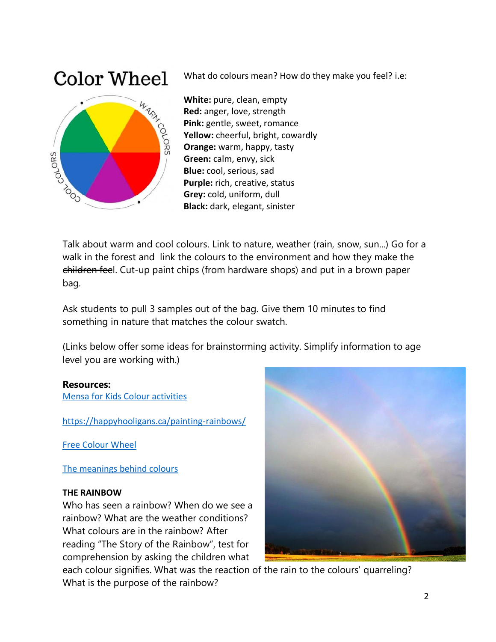# **Color Wheel**



What do colours mean? How do they make you feel? i.e:

**White:** pure, clean, empty **Red:** anger, love, strength **Pink:** gentle, sweet, romance **Yellow:** cheerful, bright, cowardly **Orange:** warm, happy, tasty **Green:** calm, envy, sick **Blue:** cool, serious, sad **Purple:** rich, creative, status **Grey:** cold, uniform, dull **Black:** dark, elegant, sinister

Talk about warm and cool colours. Link to nature, weather (rain, snow, sun...) Go for a walk in the forest and link the colours to the environment and how they make the children feel. Cut-up paint chips (from hardware shops) and put in a brown paper bag.

Ask students to pull 3 samples out of the bag. Give them 10 minutes to find something in nature that matches the colour swatch.

(Links below offer some ideas for brainstorming activity. Simplify information to age level you are working with.)

#### **Resources:**

[Mensa for Kids Colour activities](https://www.mensaforkids.org/teach/lesson-plans/introduction-to-color/)

<https://happyhooligans.ca/painting-rainbows/>

[Free Colour Wheel](https://www.pinterest.ca/pin/122019471143064596/)

[The meanings behind colours](https://www.teachprimary.com/learning_resources/view/art-and-design-lessons-using-colour)

#### **THE RAINBOW**

Who has seen a rainbow? When do we see a rainbow? What are the weather conditions? What colours are in the rainbow? After reading "The Story of the Rainbow", test for comprehension by asking the children what



each colour signifies. What was the reaction of the rain to the colours' quarreling? What is the purpose of the rainbow?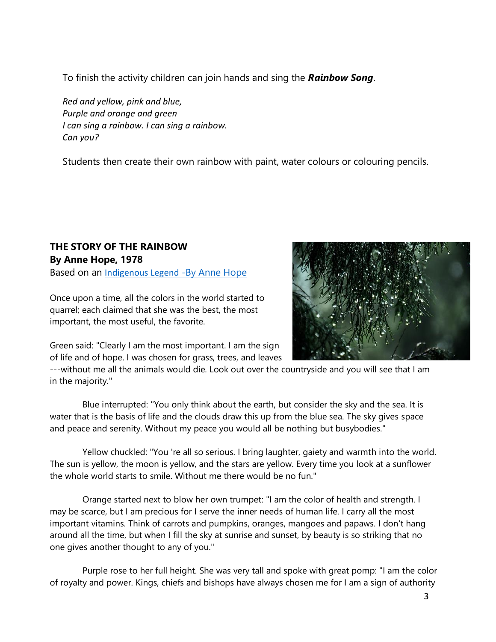To finish the activity children can join hands and sing the *Rainbow Song*.

*Red and yellow, pink and blue, Purple and orange and green I can sing a rainbow. I can sing a rainbow. Can you?*

Students then create their own rainbow with paint, water colours or colouring pencils.

# **THE STORY OF THE RAINBOW By Anne Hope, 1978**

Based on an [Indigenous Legend](http://my_tapestry.tripod.com/rainbow.html) [-By Anne Hope](http://my_tapestry.tripod.com/rainbow.html)

Once upon a time, all the colors in the world started to quarrel; each claimed that she was the best, the most important, the most useful, the favorite.



Green said: "Clearly I am the most important. I am the sign of life and of hope. I was chosen for grass, trees, and leaves

---without me all the animals would die. Look out over the countryside and you will see that I am in the majority."

Blue interrupted: "You only think about the earth, but consider the sky and the sea. It is water that is the basis of life and the clouds draw this up from the blue sea. The sky gives space and peace and serenity. Without my peace you would all be nothing but busybodies."

Yellow chuckled: "You 're all so serious. I bring laughter, gaiety and warmth into the world. The sun is yellow, the moon is yellow, and the stars are yellow. Every time you look at a sunflower the whole world starts to smile. Without me there would be no fun."

Orange started next to blow her own trumpet: "I am the color of health and strength. I may be scarce, but I am precious for I serve the inner needs of human life. I carry all the most important vitamins. Think of carrots and pumpkins, oranges, mangoes and papaws. I don't hang around all the time, but when I fill the sky at sunrise and sunset, by beauty is so striking that no one gives another thought to any of you."

Purple rose to her full height. She was very tall and spoke with great pomp: "I am the color of royalty and power. Kings, chiefs and bishops have always chosen me for I am a sign of authority